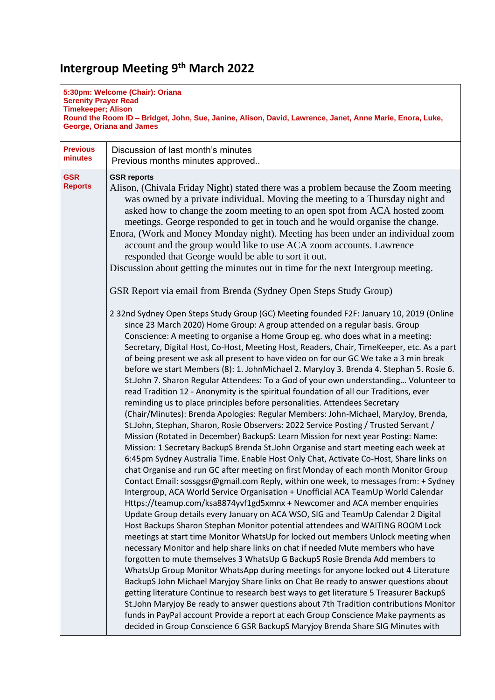## **Intergroup Meeting 9 th March 2022**

| 5:30pm: Welcome (Chair): Oriana<br><b>Serenity Prayer Read</b><br><b>Timekeeper; Alison</b><br>Round the Room ID - Bridget, John, Sue, Janine, Alison, David, Lawrence, Janet, Anne Marie, Enora, Luke,<br><b>George, Oriana and James</b> |                                                                                                                                                                                                                                                                                                                                                                                                                                                                                                                                                                                                                                                                                                                                                                                                                                                                                                                                                                                                                                                                                                                                                                                                                                                                                                                                                                                                                                                                                                                                                                                                                                                                                                                                                                                                                                                                                                                                                                                                                                                                                                                                                                                                                                                                                                                                                                                                                                                                                                                                                                                   |  |
|--------------------------------------------------------------------------------------------------------------------------------------------------------------------------------------------------------------------------------------------|-----------------------------------------------------------------------------------------------------------------------------------------------------------------------------------------------------------------------------------------------------------------------------------------------------------------------------------------------------------------------------------------------------------------------------------------------------------------------------------------------------------------------------------------------------------------------------------------------------------------------------------------------------------------------------------------------------------------------------------------------------------------------------------------------------------------------------------------------------------------------------------------------------------------------------------------------------------------------------------------------------------------------------------------------------------------------------------------------------------------------------------------------------------------------------------------------------------------------------------------------------------------------------------------------------------------------------------------------------------------------------------------------------------------------------------------------------------------------------------------------------------------------------------------------------------------------------------------------------------------------------------------------------------------------------------------------------------------------------------------------------------------------------------------------------------------------------------------------------------------------------------------------------------------------------------------------------------------------------------------------------------------------------------------------------------------------------------------------------------------------------------------------------------------------------------------------------------------------------------------------------------------------------------------------------------------------------------------------------------------------------------------------------------------------------------------------------------------------------------------------------------------------------------------------------------------------------------|--|
| <b>Previous</b><br>minutes                                                                                                                                                                                                                 | Discussion of last month's minutes<br>Previous months minutes approved                                                                                                                                                                                                                                                                                                                                                                                                                                                                                                                                                                                                                                                                                                                                                                                                                                                                                                                                                                                                                                                                                                                                                                                                                                                                                                                                                                                                                                                                                                                                                                                                                                                                                                                                                                                                                                                                                                                                                                                                                                                                                                                                                                                                                                                                                                                                                                                                                                                                                                            |  |
| <b>GSR</b><br><b>Reports</b>                                                                                                                                                                                                               | <b>GSR reports</b><br>Alison, (Chivala Friday Night) stated there was a problem because the Zoom meeting<br>was owned by a private individual. Moving the meeting to a Thursday night and<br>asked how to change the zoom meeting to an open spot from ACA hosted zoom<br>meetings. George responded to get in touch and he would organise the change.<br>Enora, (Work and Money Monday night). Meeting has been under an individual zoom<br>account and the group would like to use ACA zoom accounts. Lawrence<br>responded that George would be able to sort it out.<br>Discussion about getting the minutes out in time for the next Intergroup meeting.                                                                                                                                                                                                                                                                                                                                                                                                                                                                                                                                                                                                                                                                                                                                                                                                                                                                                                                                                                                                                                                                                                                                                                                                                                                                                                                                                                                                                                                                                                                                                                                                                                                                                                                                                                                                                                                                                                                      |  |
|                                                                                                                                                                                                                                            | GSR Report via email from Brenda (Sydney Open Steps Study Group)                                                                                                                                                                                                                                                                                                                                                                                                                                                                                                                                                                                                                                                                                                                                                                                                                                                                                                                                                                                                                                                                                                                                                                                                                                                                                                                                                                                                                                                                                                                                                                                                                                                                                                                                                                                                                                                                                                                                                                                                                                                                                                                                                                                                                                                                                                                                                                                                                                                                                                                  |  |
|                                                                                                                                                                                                                                            | 2 32nd Sydney Open Steps Study Group (GC) Meeting founded F2F: January 10, 2019 (Online<br>since 23 March 2020) Home Group: A group attended on a regular basis. Group<br>Conscience: A meeting to organise a Home Group eg. who does what in a meeting:<br>Secretary, Digital Host, Co-Host, Meeting Host, Readers, Chair, TimeKeeper, etc. As a part<br>of being present we ask all present to have video on for our GC We take a 3 min break<br>before we start Members (8): 1. JohnMichael 2. MaryJoy 3. Brenda 4. Stephan 5. Rosie 6.<br>St.John 7. Sharon Regular Attendees: To a God of your own understanding Volunteer to<br>read Tradition 12 - Anonymity is the spiritual foundation of all our Traditions, ever<br>reminding us to place principles before personalities. Attendees Secretary<br>(Chair/Minutes): Brenda Apologies: Regular Members: John-Michael, MaryJoy, Brenda,<br>St.John, Stephan, Sharon, Rosie Observers: 2022 Service Posting / Trusted Servant /<br>Mission (Rotated in December) BackupS: Learn Mission for next year Posting: Name:<br>Mission: 1 Secretary BackupS Brenda St.John Organise and start meeting each week at<br>6:45pm Sydney Australia Time. Enable Host Only Chat, Activate Co-Host, Share links on<br>chat Organise and run GC after meeting on first Monday of each month Monitor Group<br>Contact Email: sossggsr@gmail.com Reply, within one week, to messages from: + Sydney<br>Intergroup, ACA World Service Organisation + Unofficial ACA TeamUp World Calendar<br>Https://teamup.com/ksa8874yvf1gd5xmnx + Newcomer and ACA member enquiries<br>Update Group details every January on ACA WSO, SIG and TeamUp Calendar 2 Digital<br>Host Backups Sharon Stephan Monitor potential attendees and WAITING ROOM Lock<br>meetings at start time Monitor WhatsUp for locked out members Unlock meeting when<br>necessary Monitor and help share links on chat if needed Mute members who have<br>forgotten to mute themselves 3 WhatsUp G BackupS Rosie Brenda Add members to<br>WhatsUp Group Monitor WhatsApp during meetings for anyone locked out 4 Literature<br>BackupS John Michael Maryjoy Share links on Chat Be ready to answer questions about<br>getting literature Continue to research best ways to get literature 5 Treasurer BackupS<br>St.John Maryjoy Be ready to answer questions about 7th Tradition contributions Monitor<br>funds in PayPal account Provide a report at each Group Conscience Make payments as<br>decided in Group Conscience 6 GSR BackupS Maryjoy Brenda Share SIG Minutes with |  |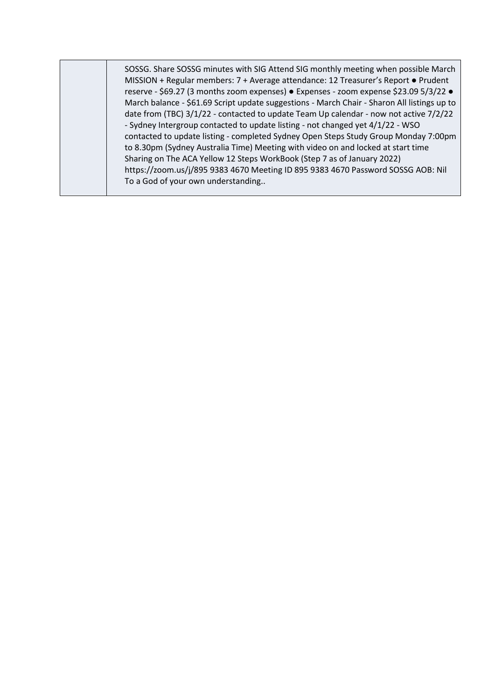SOSSG. Share SOSSG minutes with SIG Attend SIG monthly meeting when possible March MISSION + Regular members: 7 + Average attendance: 12 Treasurer's Report ● Prudent reserve - \$69.27 (3 months zoom expenses) ● Expenses - zoom expense \$23.09 5/3/22 ● March balance - \$61.69 Script update suggestions - March Chair - Sharon All listings up to date from (TBC) 3/1/22 - contacted to update Team Up calendar - now not active 7/2/22 - Sydney Intergroup contacted to update listing - not changed yet 4/1/22 - WSO contacted to update listing - completed Sydney Open Steps Study Group Monday 7:00pm to 8.30pm (Sydney Australia Time) Meeting with video on and locked at start time Sharing on The ACA Yellow 12 Steps WorkBook (Step 7 as of January 2022) https://zoom.us/j/895 9383 4670 Meeting ID 895 9383 4670 Password SOSSG AOB: Nil To a God of your own understanding..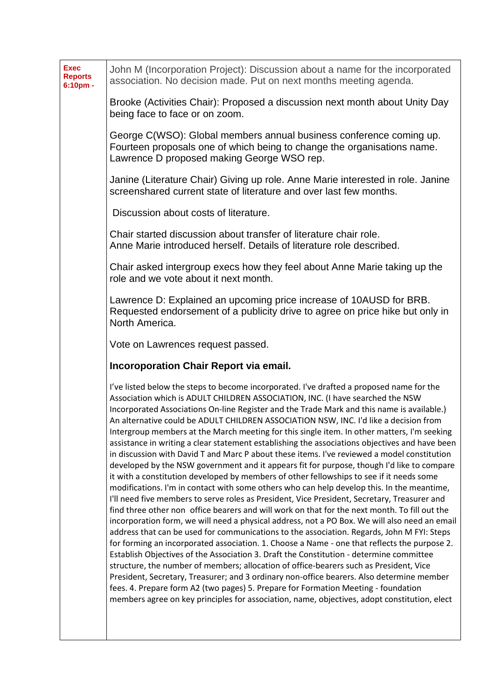| <b>Exec</b><br><b>Reports</b><br>6:10pm - | John M (Incorporation Project): Discussion about a name for the incorporated<br>association. No decision made. Put on next months meeting agenda.                                                                                                                                                                                                                                                                                                                                                                                                                                                                                                                                                                                                                                                                                                                                                                                                                                                                                                                                                                                                                                                                                                                                                                                                                                                                                                                                                                                                                                                                                                                                                                                                                                                                                                                                                                                 |
|-------------------------------------------|-----------------------------------------------------------------------------------------------------------------------------------------------------------------------------------------------------------------------------------------------------------------------------------------------------------------------------------------------------------------------------------------------------------------------------------------------------------------------------------------------------------------------------------------------------------------------------------------------------------------------------------------------------------------------------------------------------------------------------------------------------------------------------------------------------------------------------------------------------------------------------------------------------------------------------------------------------------------------------------------------------------------------------------------------------------------------------------------------------------------------------------------------------------------------------------------------------------------------------------------------------------------------------------------------------------------------------------------------------------------------------------------------------------------------------------------------------------------------------------------------------------------------------------------------------------------------------------------------------------------------------------------------------------------------------------------------------------------------------------------------------------------------------------------------------------------------------------------------------------------------------------------------------------------------------------|
|                                           | Brooke (Activities Chair): Proposed a discussion next month about Unity Day<br>being face to face or on zoom.                                                                                                                                                                                                                                                                                                                                                                                                                                                                                                                                                                                                                                                                                                                                                                                                                                                                                                                                                                                                                                                                                                                                                                                                                                                                                                                                                                                                                                                                                                                                                                                                                                                                                                                                                                                                                     |
|                                           | George C(WSO): Global members annual business conference coming up.<br>Fourteen proposals one of which being to change the organisations name.<br>Lawrence D proposed making George WSO rep.                                                                                                                                                                                                                                                                                                                                                                                                                                                                                                                                                                                                                                                                                                                                                                                                                                                                                                                                                                                                                                                                                                                                                                                                                                                                                                                                                                                                                                                                                                                                                                                                                                                                                                                                      |
|                                           | Janine (Literature Chair) Giving up role. Anne Marie interested in role. Janine<br>screenshared current state of literature and over last few months.                                                                                                                                                                                                                                                                                                                                                                                                                                                                                                                                                                                                                                                                                                                                                                                                                                                                                                                                                                                                                                                                                                                                                                                                                                                                                                                                                                                                                                                                                                                                                                                                                                                                                                                                                                             |
|                                           | Discussion about costs of literature.                                                                                                                                                                                                                                                                                                                                                                                                                                                                                                                                                                                                                                                                                                                                                                                                                                                                                                                                                                                                                                                                                                                                                                                                                                                                                                                                                                                                                                                                                                                                                                                                                                                                                                                                                                                                                                                                                             |
|                                           | Chair started discussion about transfer of literature chair role.<br>Anne Marie introduced herself. Details of literature role described.                                                                                                                                                                                                                                                                                                                                                                                                                                                                                                                                                                                                                                                                                                                                                                                                                                                                                                                                                                                                                                                                                                                                                                                                                                                                                                                                                                                                                                                                                                                                                                                                                                                                                                                                                                                         |
|                                           | Chair asked intergroup execs how they feel about Anne Marie taking up the<br>role and we vote about it next month.                                                                                                                                                                                                                                                                                                                                                                                                                                                                                                                                                                                                                                                                                                                                                                                                                                                                                                                                                                                                                                                                                                                                                                                                                                                                                                                                                                                                                                                                                                                                                                                                                                                                                                                                                                                                                |
|                                           | Lawrence D: Explained an upcoming price increase of 10AUSD for BRB.<br>Requested endorsement of a publicity drive to agree on price hike but only in<br>North America.                                                                                                                                                                                                                                                                                                                                                                                                                                                                                                                                                                                                                                                                                                                                                                                                                                                                                                                                                                                                                                                                                                                                                                                                                                                                                                                                                                                                                                                                                                                                                                                                                                                                                                                                                            |
|                                           | Vote on Lawrences request passed.                                                                                                                                                                                                                                                                                                                                                                                                                                                                                                                                                                                                                                                                                                                                                                                                                                                                                                                                                                                                                                                                                                                                                                                                                                                                                                                                                                                                                                                                                                                                                                                                                                                                                                                                                                                                                                                                                                 |
|                                           | <b>Incoroporation Chair Report via email.</b>                                                                                                                                                                                                                                                                                                                                                                                                                                                                                                                                                                                                                                                                                                                                                                                                                                                                                                                                                                                                                                                                                                                                                                                                                                                                                                                                                                                                                                                                                                                                                                                                                                                                                                                                                                                                                                                                                     |
|                                           | I've listed below the steps to become incorporated. I've drafted a proposed name for the<br>Association which is ADULT CHILDREN ASSOCIATION, INC. (I have searched the NSW<br>Incorporated Associations On-line Register and the Trade Mark and this name is available.)<br>An alternative could be ADULT CHILDREN ASSOCIATION NSW, INC. I'd like a decision from<br>Intergroup members at the March meeting for this single item. In other matters, I'm seeking<br>assistance in writing a clear statement establishing the associations objectives and have been<br>in discussion with David T and Marc P about these items. I've reviewed a model constitution<br>developed by the NSW government and it appears fit for purpose, though I'd like to compare<br>it with a constitution developed by members of other fellowships to see if it needs some<br>modifications. I'm in contact with some others who can help develop this. In the meantime,<br>I'll need five members to serve roles as President, Vice President, Secretary, Treasurer and<br>find three other non office bearers and will work on that for the next month. To fill out the<br>incorporation form, we will need a physical address, not a PO Box. We will also need an email<br>address that can be used for communications to the association. Regards, John M FYI: Steps<br>for forming an incorporated association. 1. Choose a Name - one that reflects the purpose 2.<br>Establish Objectives of the Association 3. Draft the Constitution - determine committee<br>structure, the number of members; allocation of office-bearers such as President, Vice<br>President, Secretary, Treasurer; and 3 ordinary non-office bearers. Also determine member<br>fees. 4. Prepare form A2 (two pages) 5. Prepare for Formation Meeting - foundation<br>members agree on key principles for association, name, objectives, adopt constitution, elect |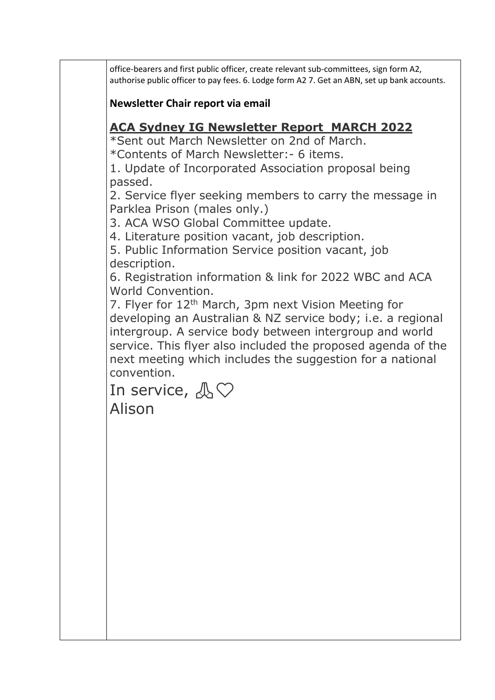office-bearers and first public officer, create relevant sub-committees, sign form A2, authorise public officer to pay fees. 6. Lodge form A2 7. Get an ABN, set up bank accounts.

**Newsletter Chair report via email**

## **ACA Sydney IG Newsletter Report MARCH 2022**

\*Sent out March Newsletter on 2nd of March.

\*Contents of March Newsletter:- 6 items.

1. Update of Incorporated Association proposal being passed.

2. Service flyer seeking members to carry the message in Parklea Prison (males only.)

3. ACA WSO Global Committee update.

4. Literature position vacant, job description.

5. Public Information Service position vacant, job description.

6. Registration information & link for 2022 WBC and ACA World Convention.

7. Flyer for 12th March, 3pm next Vision Meeting for developing an Australian & NZ service body; i.e. a regional intergroup. A service body between intergroup and world service. This flyer also included the proposed agenda of the next meeting which includes the suggestion for a national convention.

In service,  $\mathbb{A}\heartsuit$ 

Alison